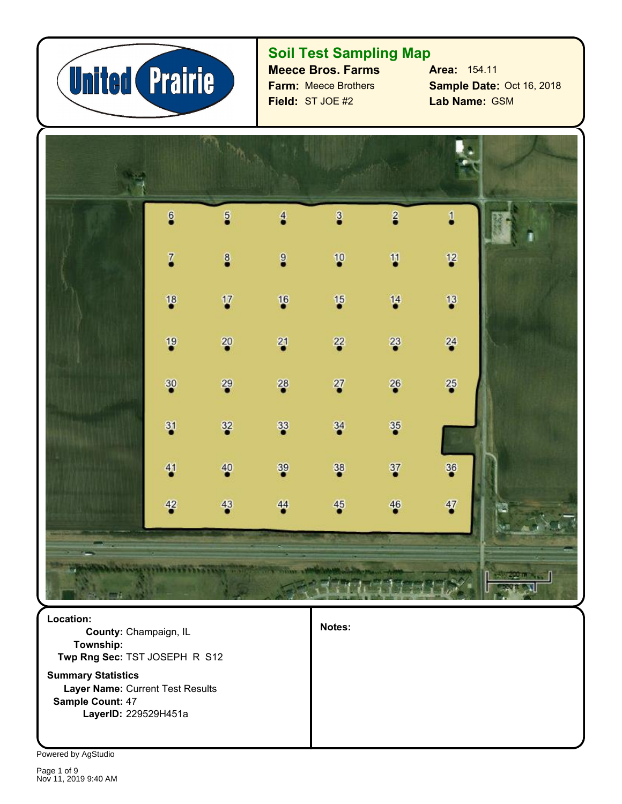

## **Soil Test Sampling Map**

**Farm:** Meece Brothers **Field:** ST JOE #2

**Meece Bros. Farms Area:** 154.11 **Lab Name: GSM Sample Date:** Oct 16, 2018



**Twp Rng Sec:** TST JOSEPH R S12 **County:** Champaign, IL **Location: Township:**

**Sample Count:** 47 **Layer Name:** Current Test Results **Summary Statistics LayerID:** 229529H451a

**Notes:**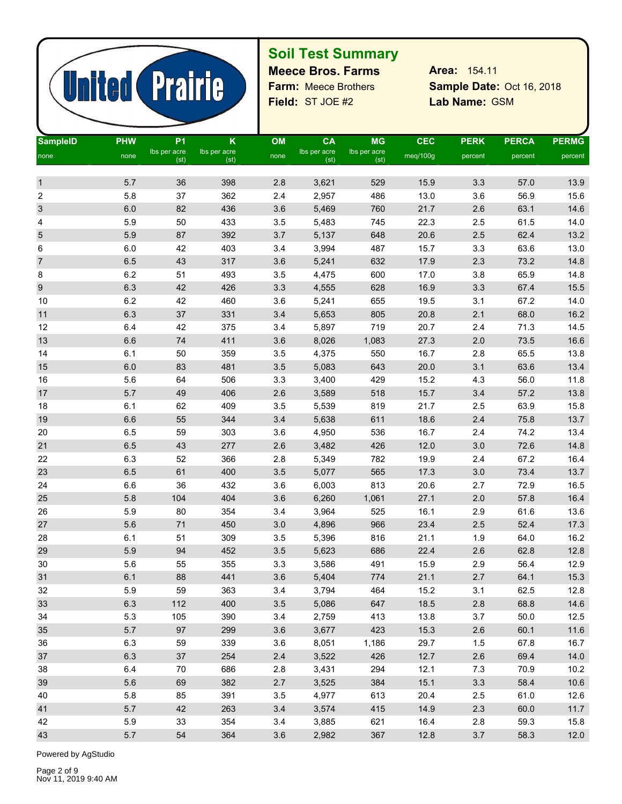

# **Soil Test Summary**

**Field:** ST JOE #2 **Lab Name:** Farm: Meece Brothers

Sample Date: Oct 16, 2018 Lab Name: GSM **Meece Bros. Farms Area:** 154.11

| <b>SampleID</b>  | <b>PHW</b> | P <sub>1</sub>       | K                    | OM   | <b>CA</b>            | <b>MG</b>            | <b>CEC</b> | <b>PERK</b> | <b>PERCA</b> | <b>PERMG</b> |
|------------------|------------|----------------------|----------------------|------|----------------------|----------------------|------------|-------------|--------------|--------------|
| none             | none       | Ibs per acre<br>(st) | Ibs per acre<br>(st) | none | Ibs per acre<br>(st) | Ibs per acre<br>(st) | meq/100g   | percent     | percent      | percent      |
|                  |            |                      |                      |      |                      |                      |            |             |              |              |
| $\mathbf{1}$     | 5.7        | 36                   | 398                  | 2.8  | 3,621                | 529                  | 15.9       | 3.3         | 57.0         | 13.9         |
| $\boldsymbol{2}$ | 5.8        | 37                   | 362                  | 2.4  | 2,957                | 486                  | 13.0       | 3.6         | 56.9         | 15.6         |
| 3                | 6.0        | 82                   | 436                  | 3.6  | 5,469                | 760                  | 21.7       | 2.6         | 63.1         | 14.6         |
| 4                | 5.9        | 50                   | 433                  | 3.5  | 5,483                | 745                  | 22.3       | 2.5         | 61.5         | 14.0         |
| 5                | 5.9        | 87                   | 392                  | 3.7  | 5,137                | 648                  | 20.6       | $2.5\,$     | 62.4         | 13.2         |
| 6                | $6.0\,$    | 42                   | 403                  | 3.4  | 3,994                | 487                  | 15.7       | 3.3         | 63.6         | 13.0         |
| $\overline{7}$   | 6.5        | 43                   | 317                  | 3.6  | 5,241                | 632                  | 17.9       | 2.3         | 73.2         | 14.8         |
| 8                | 6.2        | 51                   | 493                  | 3.5  | 4,475                | 600                  | 17.0       | 3.8         | 65.9         | 14.8         |
| $\boldsymbol{9}$ | 6.3        | 42                   | 426                  | 3.3  | 4,555                | 628                  | 16.9       | 3.3         | 67.4         | 15.5         |
| 10               | 6.2        | 42                   | 460                  | 3.6  | 5,241                | 655                  | 19.5       | 3.1         | 67.2         | 14.0         |
| 11               | 6.3        | 37                   | 331                  | 3.4  | 5,653                | 805                  | 20.8       | 2.1         | 68.0         | 16.2         |
| 12               | 6.4        | 42                   | 375                  | 3.4  | 5,897                | 719                  | 20.7       | 2.4         | 71.3         | 14.5         |
| 13               | 6.6        | 74                   | 411                  | 3.6  | 8,026                | 1,083                | 27.3       | 2.0         | 73.5         | 16.6         |
| 14               | 6.1        | 50                   | 359                  | 3.5  | 4,375                | 550                  | 16.7       | 2.8         | 65.5         | 13.8         |
| 15               | $6.0\,$    | 83                   | 481                  | 3.5  | 5,083                | 643                  | 20.0       | 3.1         | 63.6         | 13.4         |
| 16               | 5.6        | 64                   | 506                  | 3.3  | 3,400                | 429                  | 15.2       | 4.3         | 56.0         | 11.8         |
| 17               | 5.7        | 49                   | 406                  | 2.6  | 3,589                | 518                  | 15.7       | 3.4         | 57.2         | 13.8         |
| 18               | 6.1        | 62                   | 409                  | 3.5  | 5,539                | 819                  | 21.7       | 2.5         | 63.9         | 15.8         |
| 19               | 6.6        | 55                   | 344                  | 3.4  | 5,638                | 611                  | 18.6       | 2.4         | 75.8         | 13.7         |
| $20\,$           | 6.5        | 59                   | 303                  | 3.6  | 4,950                | 536                  | 16.7       | 2.4         | 74.2         | 13.4         |
| 21               | 6.5        | 43                   | 277                  | 2.6  | 3,482                | 426                  | 12.0       | $3.0\,$     | 72.6         | 14.8         |
| 22               | 6.3        | 52                   | 366                  | 2.8  | 5,349                | 782                  | 19.9       | 2.4         | 67.2         | 16.4         |
| 23               | $6.5\,$    | 61                   | 400                  | 3.5  | 5,077                | 565                  | 17.3       | $3.0\,$     | 73.4         | 13.7         |
| 24               | 6.6        | 36                   | 432                  | 3.6  | 6,003                | 813                  | 20.6       | 2.7         | 72.9         | 16.5         |
| 25               | 5.8        | 104                  | 404                  | 3.6  | 6,260                | 1,061                | 27.1       | 2.0         | 57.8         | 16.4         |
| $26\,$           | 5.9        | 80                   | 354                  | 3.4  | 3,964                | 525                  | 16.1       | 2.9         | 61.6         | 13.6         |
| 27               | 5.6        | 71                   | 450                  | 3.0  | 4,896                | 966                  | 23.4       | 2.5         | 52.4         | 17.3         |
| 28               | 6.1        | 51                   | 309                  | 3.5  | 5,396                | 816                  | 21.1       | 1.9         | 64.0         | 16.2         |
| 29               | 5.9        | 94                   | 452                  | 3.5  | 5,623                | 686                  | 22.4       | 2.6         | 62.8         | 12.8         |
| 30               | 5.6        | 55                   | 355                  | 3.3  | 3,586                | 491                  | 15.9       | 2.9         | 56.4         | 12.9         |
| 31               | 6.1        | 88                   | 441                  | 3.6  | 5,404                | 774                  | 21.1       | 2.7         | 64.1         | 15.3         |
| 32               | 5.9        | 59                   | 363                  | 3.4  | 3,794                | 464                  | 15.2       | 3.1         | 62.5         | 12.8         |
| 33               | 6.3        | 112                  | 400                  | 3.5  | 5,086                | 647                  | 18.5       | 2.8         | 68.8         | 14.6         |
| 34               | 5.3        | 105                  | 390                  | 3.4  | 2,759                | 413                  | 13.8       | 3.7         | 50.0         | 12.5         |
| 35               | 5.7        | 97                   | 299                  | 3.6  | 3,677                | 423                  | 15.3       | 2.6         | 60.1         | 11.6         |
| 36               | 6.3        | 59                   | 339                  | 3.6  | 8,051                | 1,186                | 29.7       | 1.5         | 67.8         | 16.7         |
| 37               | 6.3        | $37\,$               | 254                  | 2.4  | 3,522                | 426                  | 12.7       | 2.6         | 69.4         | 14.0         |
| 38               | 6.4        | 70                   | 686                  | 2.8  | 3,431                | 294                  | 12.1       | 7.3         | 70.9         | 10.2         |
| 39               | 5.6        | 69                   | 382                  | 2.7  | 3,525                | 384                  | 15.1       | 3.3         | 58.4         | 10.6         |
| 40               | 5.8        | 85                   | 391                  | 3.5  | 4,977                | 613                  | 20.4       | 2.5         | 61.0         | 12.6         |
| 41               | 5.7        | 42                   | 263                  | 3.4  | 3,574                | 415                  | 14.9       | 2.3         | 60.0         | 11.7         |
| 42               | 5.9        | 33                   | 354                  | 3.4  | 3,885                | 621                  | 16.4       | 2.8         | 59.3         | 15.8         |
| 43               | 5.7        | 54                   | 364                  | 3.6  | 2,982                | 367                  | 12.8       | $3.7$       | 58.3         | 12.0         |
|                  |            |                      |                      |      |                      |                      |            |             |              |              |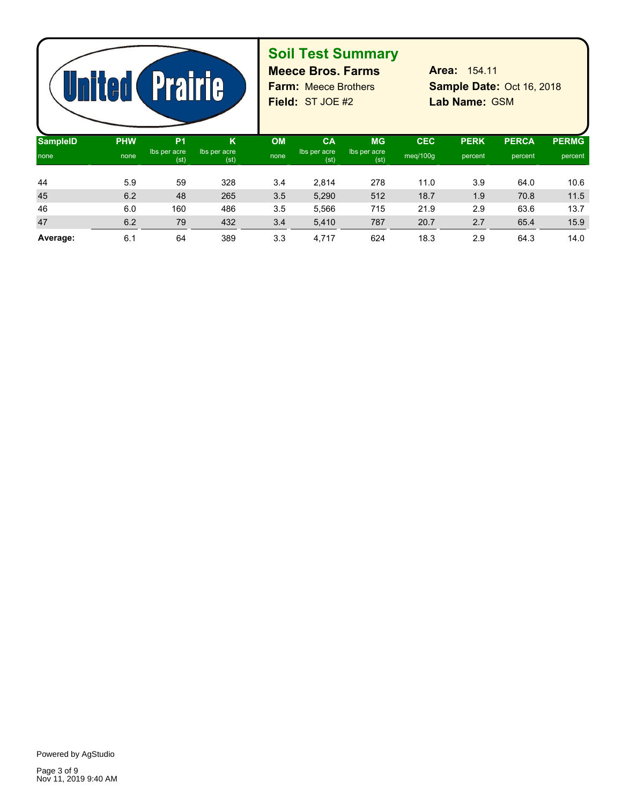

# **Soil Test Summary**

**Field:** ST JOE #2 **Lab Name:** Farm: Meece Brothers

Sample Date: Oct 16, 2018 Lab Name: GSM **Meece Bros. Farms Area:** 154.11

| <b>SampleID</b> | <b>PHW</b> | P <sub>1</sub>       | κ                    | <b>OM</b> | <b>CA</b>            | <b>MG</b>            | <b>CEC</b> | <b>PERK</b> | <b>PERCA</b> | <b>PERMG</b> |  |
|-----------------|------------|----------------------|----------------------|-----------|----------------------|----------------------|------------|-------------|--------------|--------------|--|
| none            | none       | Ibs per acre<br>(st) | Ibs per acre<br>(st) | none      | Ibs per acre<br>(st) | Ibs per acre<br>(st) | meq/100q   | percent     | percent      | percent      |  |
|                 |            |                      |                      |           |                      |                      |            |             |              |              |  |
| 44              | 5.9        | 59                   | 328                  | 3.4       | 2,814                | 278                  | 11.0       | 3.9         | 64.0         | 10.6         |  |
| 45              | 6.2        | 48                   | 265                  | 3.5       | 5,290                | 512                  | 18.7       | 1.9         | 70.8         | 11.5         |  |
| 46              | 6.0        | 160                  | 486                  | 3.5       | 5.566                | 715                  | 21.9       | 2.9         | 63.6         | 13.7         |  |
| 47              | 6.2        | 79                   | 432                  | 3.4       | 5,410                | 787                  | 20.7       | 2.7         | 65.4         | 15.9         |  |
| Average:        | 6.1        | 64                   | 389                  | 3.3       | 4,717                | 624                  | 18.3       | 2.9         | 64.3         | 14.0         |  |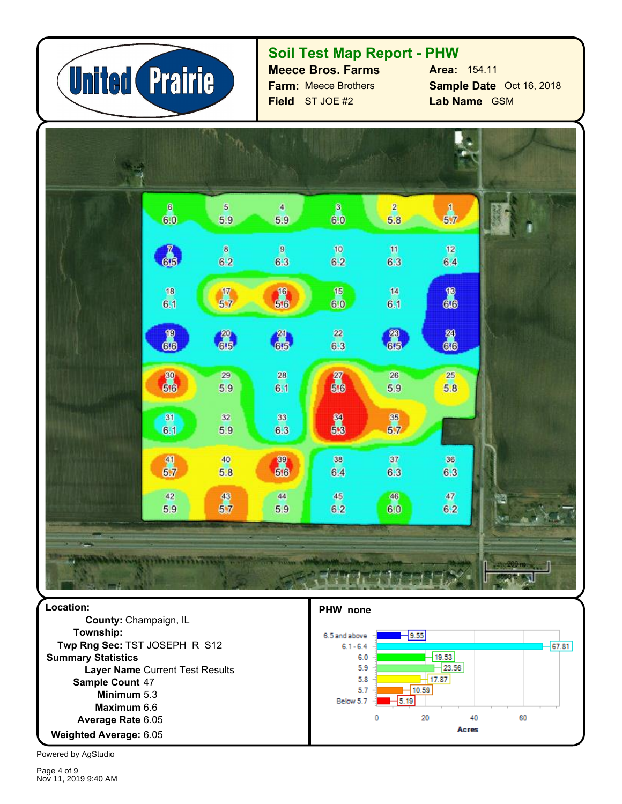

### **Soil Test Map Report - PHW**

**Field** ST JOE #2 **Farm:** Meece Brothers **Meece Bros. Farms**

**Sample Date** Oct 16, 2018 **Lab Name** GSM **Area:** 154.11



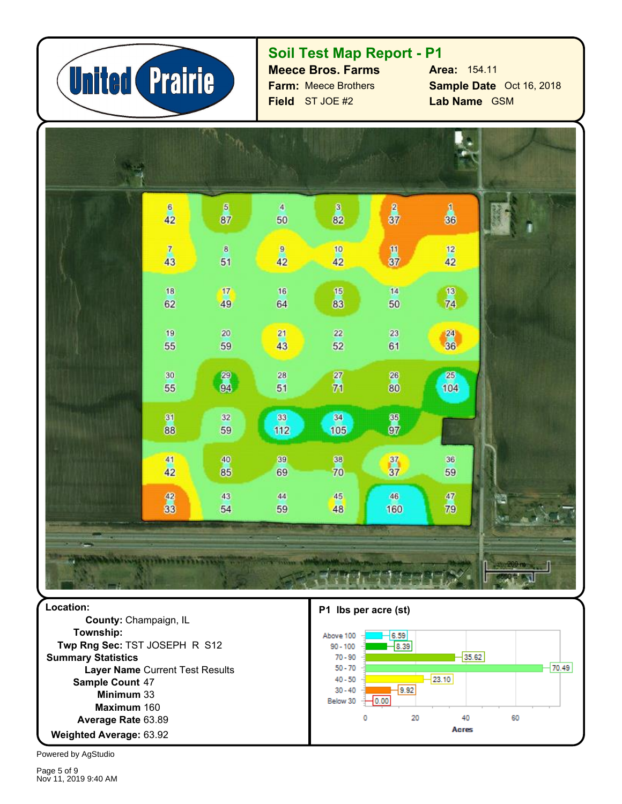

### **Soil Test Map Report - P1**

**Field** ST JOE #2 **Farm:** Meece Brothers **Meece Bros. Farms**

**Sample Date** Oct 16, 2018 **Lab Name** GSM **Area:** 154.11



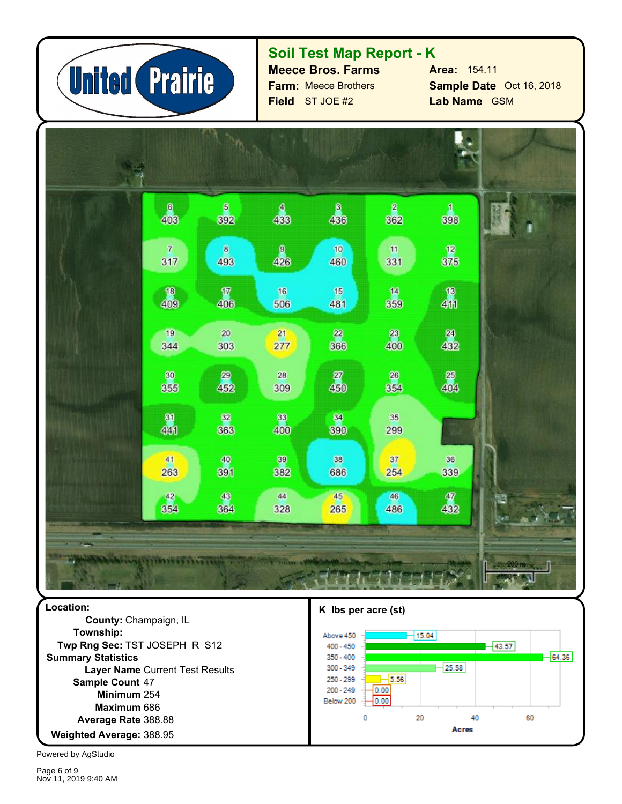

## **Soil Test Map Report - K**

**Field** ST JOE #2 **Farm:** Meece Brothers **Meece Bros. Farms**

**Sample Date** Oct 16, 2018 **Lab Name** GSM **Area:** 154.11



**Township:** 254 **Minimum** 388.95 **Weighted Average:** 388.88 **Average Rate** 686 **Maximum** Sample Count 47 **Layer Name** Current Test Results **Summary Statistics Twp Rng Sec:** TST JOSEPH R S12 **County:** Champaign, IL



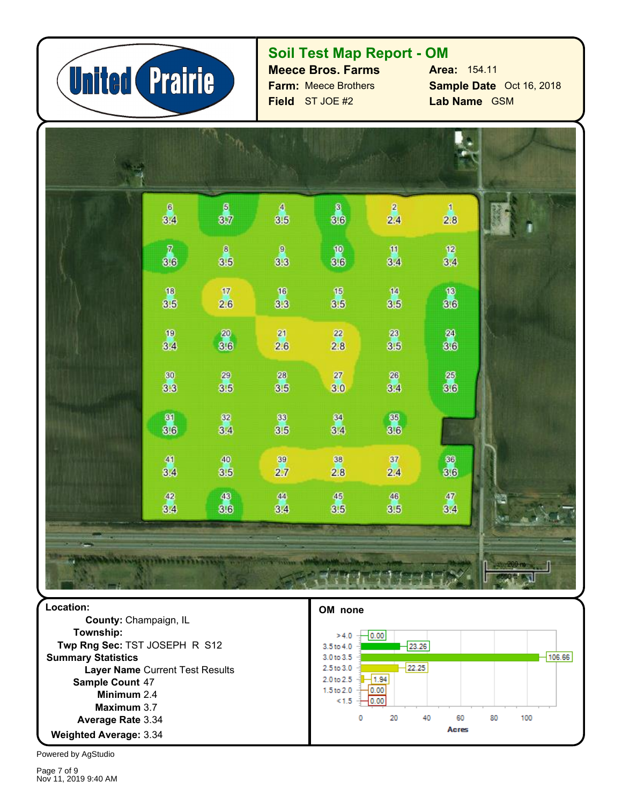

### **Soil Test Map Report - OM**

**Field** ST JOE #2 **Farm:** Meece Brothers **Meece Bros. Farms** **Sample Date** Oct 16, 2018 **Lab Name** GSM **Area:** 154.11

| $\frac{6}{3.4}$                         | $\frac{6}{37}$   | $\frac{4}{3.5}$                          | $\frac{8}{3.6}$                          | $\frac{2}{2.4}$                          | $\begin{array}{c} 1 \\ 2.8 \end{array}$ |  |
|-----------------------------------------|------------------|------------------------------------------|------------------------------------------|------------------------------------------|-----------------------------------------|--|
| $\begin{array}{c} 7 \\ 3.6 \end{array}$ | $\frac{8}{3.5}$  | $\frac{9}{3.3}$                          | $\pmb{\text{10}}$<br>3.6                 | $\frac{10}{3.4}$                         | $\frac{12}{3.4}$                        |  |
| $\frac{18}{3.5}$                        | $\frac{17}{2.6}$ | $\frac{16}{3.3}$                         | $\frac{15}{3.5}$                         | $\frac{14}{3.5}$                         | $\frac{18}{3.6}$                        |  |
| $\frac{19}{3.4}$                        | 20<br>3.6        | 21<br>2.6                                | 22<br>2.8                                | $\begin{array}{c} 23 \\ 3.5 \end{array}$ | $\frac{24}{3.6}$                        |  |
| $\frac{80}{3.3}$                        | $\frac{29}{3.5}$ | $\begin{array}{c} 28 \\ 3.5 \end{array}$ | ${\bf 27}$<br>3.0                        | $\frac{26}{3.4}$                         | $\frac{25}{30}$                         |  |
| $\frac{81}{30}$                         | 82<br>3.4        | 88<br>3.5                                | $\frac{34}{3.4}$                         | 85<br>3.6                                |                                         |  |
| $\frac{41}{3.4}$                        | $\frac{40}{3.5}$ | $\begin{array}{c} 39 \\ 2.7 \end{array}$ | $\begin{array}{c} 38 \\ 2.8 \end{array}$ | $\frac{37}{2.4}$                         | 86<br>8.6                               |  |
| $\frac{42}{3.4}$                        | 43<br>3.6        | 44<br>3.4                                | 45<br>3.5                                | 46<br>3.5                                | $\frac{47}{3.4}$                        |  |
|                                         |                  |                                          |                                          |                                          |                                         |  |

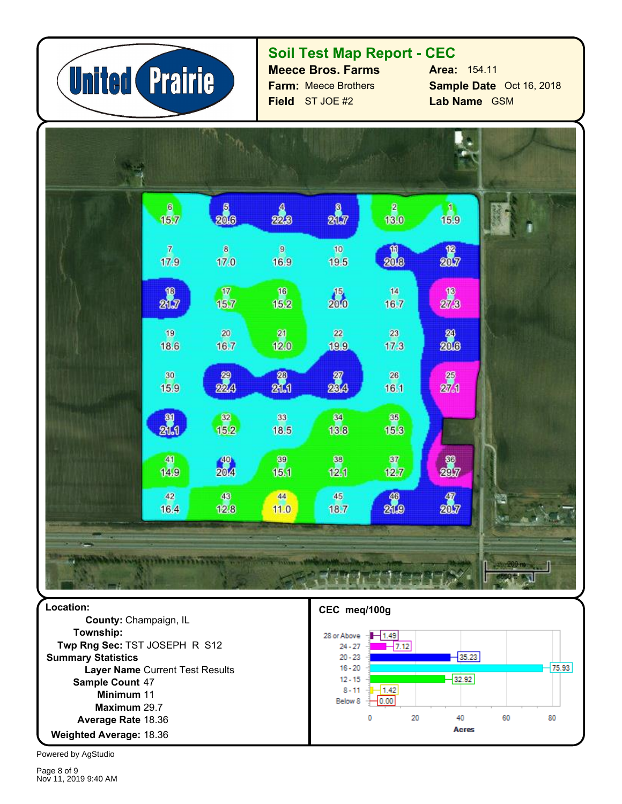

### **Soil Test Map Report - CEC**

**Field** ST JOE #2 **Farm:** Meece Brothers **Meece Bros. Farms**

**Sample Date** Oct 16, 2018 **Lab Name** GSM **Area:** 154.11